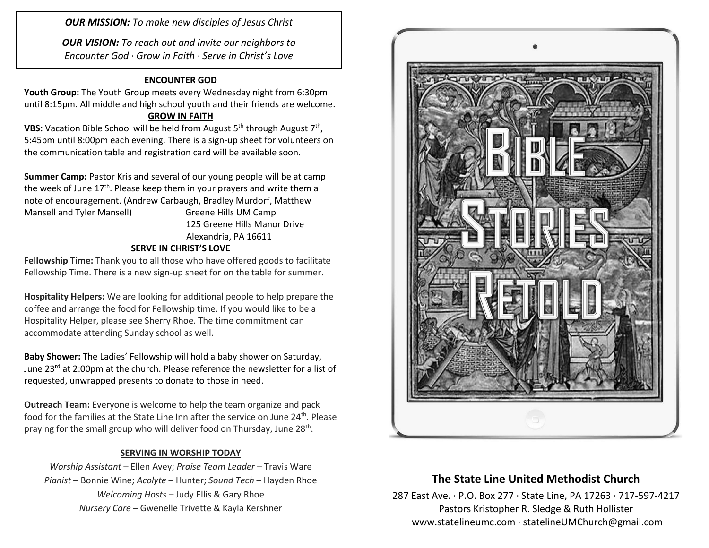*OUR MISSION: To make new disciples of Jesus Christ*

*OUR VISION: To reach out and invite our neighbors to Encounter God · Grow in Faith · Serve in Christ's Love*

#### **ENCOUNTER GOD**

**Youth Group:** The Youth Group meets every Wednesday night from 6:30pm until 8:15pm. All middle and high school youth and their friends are welcome.

#### **GROW IN FAITH**

**VBS:** Vacation Bible School will be held from August 5<sup>th</sup> through August 7<sup>th</sup>, 5:45pm until 8:00pm each evening. There is a sign-up sheet for volunteers on the communication table and registration card will be available soon.

**Summer Camp:** Pastor Kris and several of our young people will be at camp the week of June  $17<sup>th</sup>$ . Please keep them in your prayers and write them a note of encouragement. (Andrew Carbaugh, Bradley Murdorf, Matthew Mansell and Tyler Mansell) Greene Hills UM Camp 125 Greene Hills Manor Drive Alexandria, PA 16611

### **SERVE IN CHRIST'S LOVE**

**Fellowship Time:** Thank you to all those who have offered goods to facilitate Fellowship Time. There is a new sign-up sheet for on the table for summer.

**Hospitality Helpers:** We are looking for additional people to help prepare the coffee and arrange the food for Fellowship time. If you would like to be a Hospitality Helper, please see Sherry Rhoe. The time commitment can accommodate attending Sunday school as well.

**Baby Shower:** The Ladies' Fellowship will hold a baby shower on Saturday, June 23<sup>rd</sup> at 2:00pm at the church. Please reference the newsletter for a list of requested, unwrapped presents to donate to those in need.

**Outreach Team:** Everyone is welcome to help the team organize and pack food for the families at the State Line Inn after the service on June 24<sup>th</sup>. Please praying for the small group who will deliver food on Thursday, June 28<sup>th</sup>.

#### **SERVING IN WORSHIP TODAY**

*Worship Assistant* – Ellen Avey; *Praise Team Leader* – Travis Ware *Pianist* – Bonnie Wine; *Acolyte* – Hunter; *Sound Tech* – Hayden Rhoe *Welcoming Hosts* – Judy Ellis & Gary Rhoe *Nursery Care* – Gwenelle Trivette & Kayla Kershner



## **The State Line United Methodist Church**

287 East Ave. · P.O. Box 277 · State Line, PA 17263 · 717-597-4217 Pastors Kristopher R. Sledge & Ruth Hollister [www.statelineumc.com](http://www.statelineumc.com/) · statelineUMChurch@gmail.com